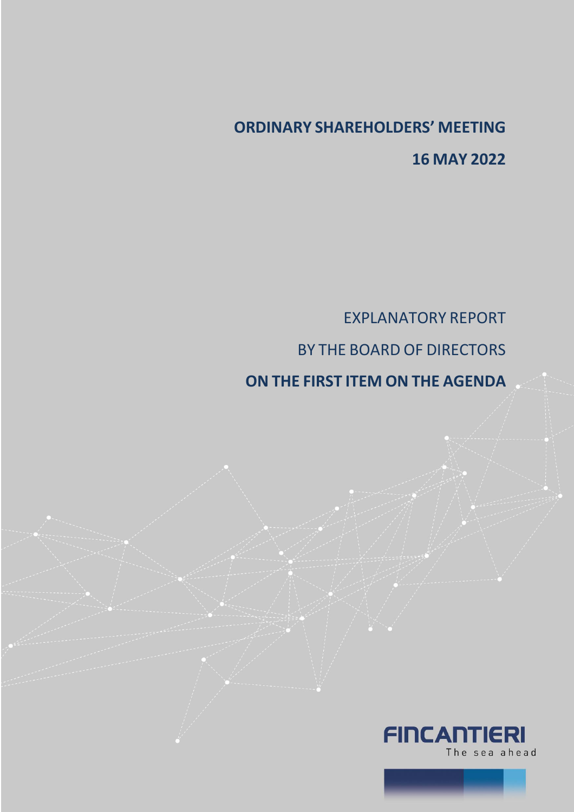## **ORDINARY SHAREHOLDERS' MEETING 16 MAY 2022**

EXPLANATORY REPORT BY THE BOARD OF DIRECTORS

## **ON THE FIRST ITEM ON THE AGENDA**

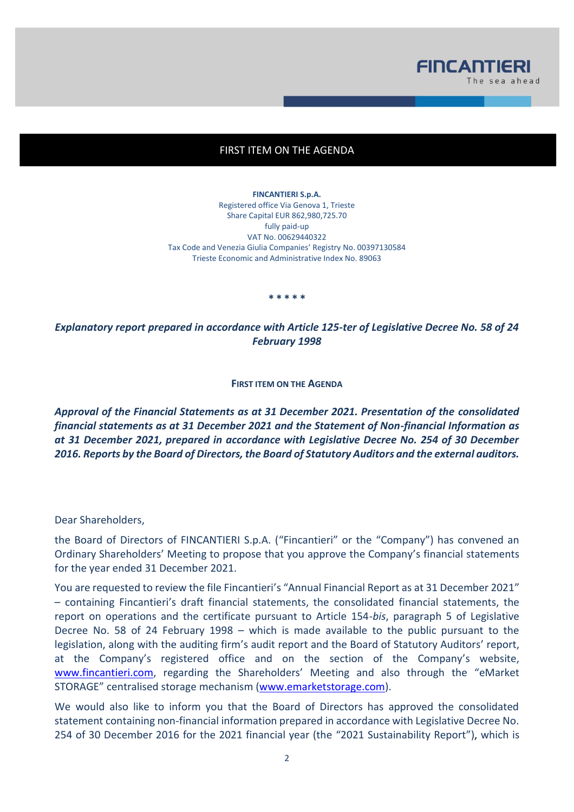

## FIRST ITEM ON THE AGENDA

**FINCANTIERI S.p.A.** Registered office Via Genova 1, Trieste Share Capital EUR 862,980,725.70 fully paid-up VAT No. 00629440322 Tax Code and Venezia Giulia Companies' Registry No. 00397130584 Trieste Economic and Administrative Index No. 89063

**\* \* \* \* \***

*Explanatory report prepared in accordance with Article 125-ter of Legislative Decree No. 58 of 24 February 1998*

**FIRST ITEM ON THE AGENDA**

*Approval of the Financial Statements as at 31 December 2021. Presentation of the consolidated financial statements as at 31 December 2021 and the Statement of Non-financial Information as at 31 December 2021, prepared in accordance with Legislative Decree No. 254 of 30 December 2016. Reports by the Board of Directors, the Board of Statutory Auditors and the external auditors.* 

Dear Shareholders,

the Board of Directors of FINCANTIERI S.p.A. ("Fincantieri" or the "Company") has convened an Ordinary Shareholders' Meeting to propose that you approve the Company's financial statements for the year ended 31 December 2021.

You are requested to review the file Fincantieri's "Annual Financial Report as at 31 December 2021" – containing Fincantieri's draft financial statements, the consolidated financial statements, the report on operations and the certificate pursuant to Article 154-*bis*, paragraph 5 of Legislative Decree No. 58 of 24 February 1998 – which is made available to the public pursuant to the legislation, along with the auditing firm's audit report and the Board of Statutory Auditors' report, at the Company's registered office and on the section of the Company's website, [www.fincantieri.com,](http://www.fincantieri.com/) regarding the Shareholders' Meeting and also through the "eMarket STORAGE" centralised storage mechanism [\(www.emarketstorage.com\)](http://www.emarketstorage.com/).

We would also like to inform you that the Board of Directors has approved the consolidated statement containing non-financial information prepared in accordance with Legislative Decree No. 254 of 30 December 2016 for the 2021 financial year (the "2021 Sustainability Report"), which is